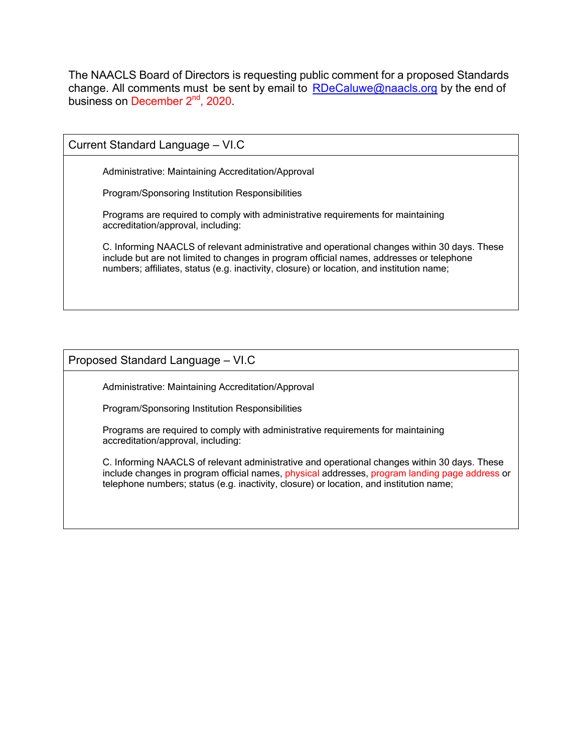The NAACLS Board of Directors is requesting public comment for a proposed Standards change. All comments must be sent by email to  $RDeCaluwe@naacls.org$  by the end of business on December 2<sup>nd</sup>, 2020.

Current Standard Language – VI.C Administrative: Maintaining Accreditation/Approval Program/Sponsoring Institution Responsibilities Programs are required to comply with administrative requirements for maintaining

C. Informing NAACLS of relevant administrative and operational changes within 30 days. These include but are not limited to changes in program official names, addresses or telephone numbers; affiliates, status (e.g. inactivity, closure) or location, and institution name;

## Proposed Standard Language – VI.C

accreditation/approval, including:

Administrative: Maintaining Accreditation/Approval

Program/Sponsoring Institution Responsibilities

Programs are required to comply with administrative requirements for maintaining accreditation/approval, including:

C. Informing NAACLS of relevant administrative and operational changes within 30 days. These include changes in program official names, physical addresses, program landing page address or telephone numbers; status (e.g. inactivity, closure) or location, and institution name;